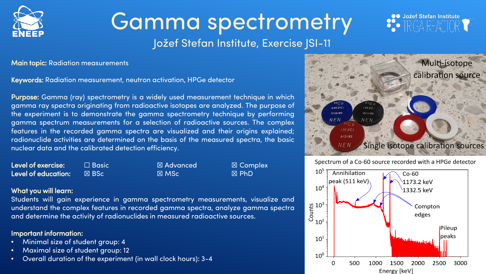

# Gamma spectrometry

## Jožef Stefan Institute, Exercise JSI-11

Main topic: Radiation measurements

Keywords: Radiation measurement, neutron activation, HPGe detector

Purpose: Gamma (ray) spectrometry is a widely used measurement technique in which gamma ray spectra originating from radioactive isotopes are analyzed. The purpose of the experiment is to demonstrate the gamma spectrometry technique by performing gamma spectrum measurements for a selection of radioactive sources. The complex features in the recorded gamma spectra are visualized and their origins explained; radionuclide activities are determined on the basis of the measured spectra, the basic nuclear data and the calibrated detection efficiency.

| Level of exercise:  | $\Box$ Basic $^{\mathsf{\scriptscriptstyle I}}$ | $\boxtimes$ Advanced | ⊠ Complex       |
|---------------------|-------------------------------------------------|----------------------|-----------------|
| Level of education: | '⊠ BSc i                                        | $\boxtimes$ MSc      | $\boxtimes$ PhD |

#### What you will learn:

Students will gain experience in gamma spectrometry measurements, visualize and understand the complex features in recorded gamma spectra, analyze gamma spectra and determine the activity of radionuclides in measured radioactive sources.

### Important information:

- Minimal size of student group: 4
- Maximal size of student group: 12
- Overall duration of the experiment (in wall clock hours): 3-4



**OO** Jožef Stefan Institute

Spectrum of a Co-60 source recorded with a HPGe detector